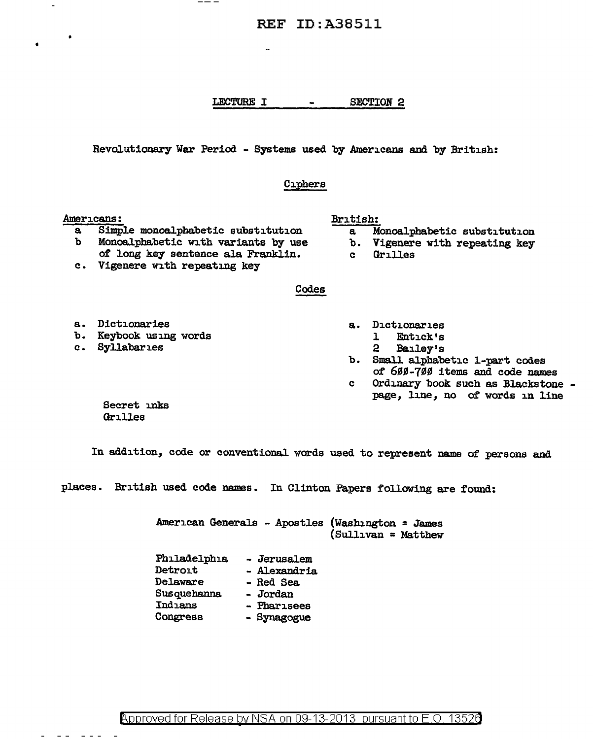## LECTURE I - SECTION 2

Revolutionary War Period - Systems used by Americans and by British:

#### Ciphers

#### Americans:

•

\_\_\_

- a Simple monoalphabetic substitution<br>b Monoalphabetic with variants by use Monoalphabetic with variants by use
- of long key sentence ala Franklin.
- c. Vigenere with repeating key

#### Codes

- a. Dictionaries
	- Entick's
		- 2 Bailey's
- b. Small alphabetic 1-part codes of 600-700 items and code names
- c Ordinary book such as Blackstone page, line, no of words in line

Secret inks Grilles

In addition, code or conventional words used to represent name of persons and

places. British used code names. In Clinton Papers following are found:

American Generals - Apostles (Washington = James (Sullivan = Matthew

Philadelphia Detroit Delaware Susquehanna Indians Congress - Jerusalem - Alexandria - Red Sea - Jordan - Pharisees - Synagogue

- 
- a Monoalphabetic substitution

British:

- b. Vigenere with repeating key
- c Grilles

- a. Dictionaries
- b. Keybook using words
- c. Syllabaries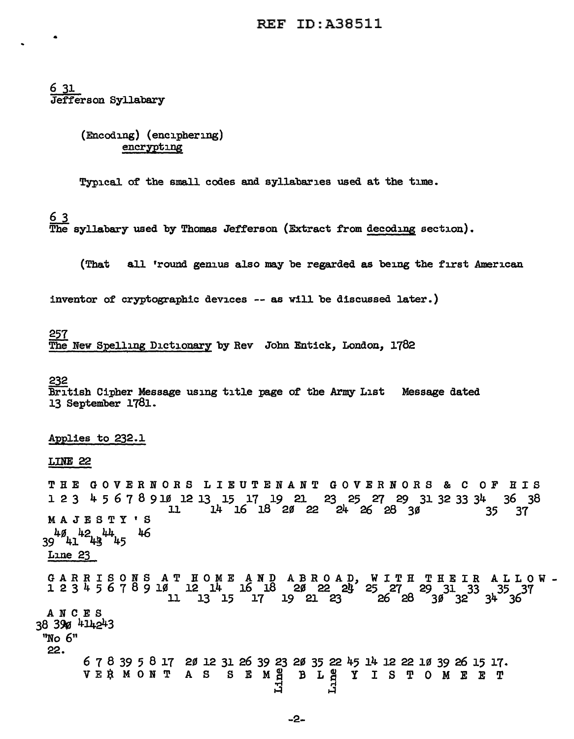## 6 31 Jefferson Syllabary

(Encoding) (enciphering) encrypting

Typical of the small codes and syllabaries used at the time.

6 3

The syllabary used by Thomas Jefferson (Extract from decoding section).

(That all 'round genius also may be regarded as being the first American

inventor of cryptographic devices -- as will be discussed later.)

257 The New Spelling Dictionary by Rev John Entick, London, 1782

#### 232

British Cipher Message using title page of the Army List Message dated 13 September 1781.

### Applies to 232.1

LINE 22

THE GOVERNORS LIEUTENANT GOVERNORS & C OF HIS 1 2 3 4 5 6 7 8 9 lf/J 12 13 15 17 19 21 23 25 27 29 31 32 33 34 36 38  $14$  16 18 20 22 24 26 28 30 MAJESTY'S  $39^{48}41^{42}43^{44}45$  46 Line 23

G A R R I S 0 N S A T H 0 M E A N D A B R 0 A D, W I T H T H E I R A L L 0 W -  $1 2 3 4 5 6 7 8 9 10 12 14 16 18 20 22 21 25 27 29 31 33 35 37$  $\begin{array}{ccccccc} 1 & 12 & 14 & 16 & 18 & 20 & 22 & 24 & 25 & 27 & 29 & 31 & 33 & 35 & 37 \ 11 & 13 & 15 & 17 & 19 & 21 & 23 & 26 & 28 & 30 & 32 & 34 & 36 \ \end{array}$ ANCES 38 390 414243

"No 6" 22.

> 6 7 8 39 5 8 17 20 12 31 26 39 23 20 35 22 45 14 12 22 10 39 26 15 17.<br>VE\$ MONT AS SEM<u>E</u> BLEY ISTOMEET orf ri ..:! ..:!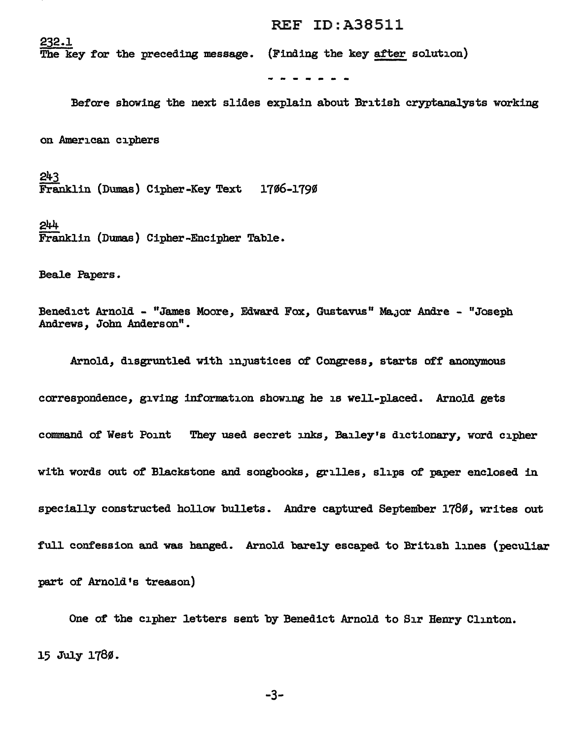The key for the preceding message. (Finding the key after solution)

Before showing the next slides explain about British cryptanalysts working

on American ciphers

232.1

243  $\overline{\text{Franklin}}$  (Dumas) Cipher-Key Text 1706-1790

244 Franklin (Dumas) Cipher-Encipher Table.

Beale Papers.

Benedict Arnold - "James Moore, Edward Fox, Gustavus" Major Andre - "Joseph Andrews, John Anderson".

Arnold, disgruntled with injustices of Congress, starts off anonymous correspondence, giving information showing he is well-placed. Arnold gets command of West Point They used secret inks, Bailey's dictionary, word cipher witb words out of Blackstone and songbooks, grilles, slips of paper enclosed in specially constructed hollow bullets. Andre captured September 1786, writes out full confession and was banged. Arnold barely escaped to British lines (peculiar part of Arnold's treason)

One of the cipher letters sent by Benedict Arnold to Sir Henry Clinton. 15 July 1780.

-3-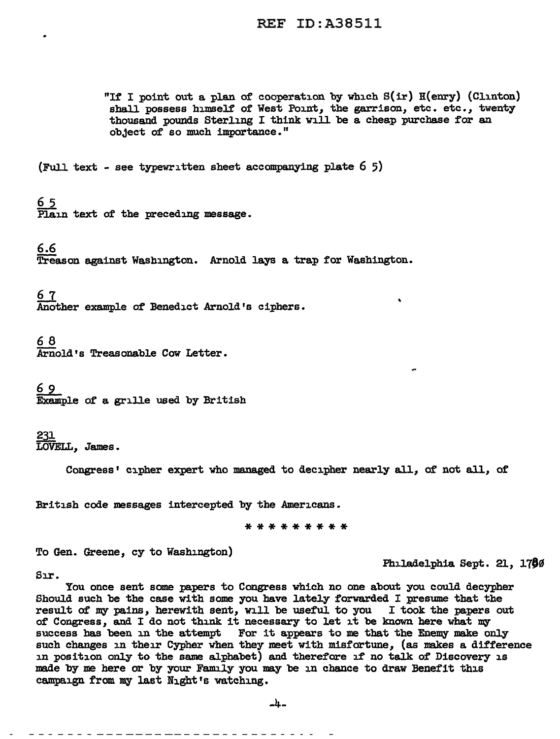"If I point out a plan of cooperation by which S(ir) H(enry) (Clinton) shall possess himself of West Point, the garrison, etc. etc., twenty thousand pounds Sterling I think will be a cheap purchase for an object of so much importance."

(Full text - see typewritten sheet accompanying plate  $6\,5$ )

<u>65</u>

Plain text of the preceding message.

6.6

Treason against Washington. Arnold lays a trap for Washington.

67 Another example of Benedict Arnold's ciphers.

68

.Arnold's Treasonable Cow Letter.

6 9

Example of a. grille used by British

231 *LOVELL,* James •

Congress• cipher expert who managed to decipher nearly all, of not all, of

British code messages intercepted by the Americans.

\*\*\*\*\*\*\*\*\*

To Gen. Greene, cy to Washington)

Philadelphia Sept. 21, 1780

Sır.

You once sent some papers to Congress which no one about you could decypher Should such be the case with some you have lately forwarded I presume that the result of my pains, herewith sent, will be useful to you I took the papers out of Congress, and I do not think. it necessary to let it be known here what my success has been in the attempt For it appears to me that the Enemy make only such changes in their Cypher when they meet with misfortune, (as makes a difference in position on1y to the same alphabet) and therefore if no talk of Discovery is made by me here or by your Family you may be in chance to draw Benefit this campaign from my last Night's watching.